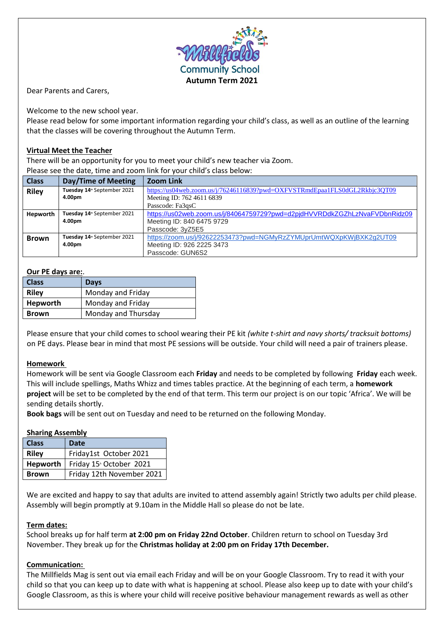

Dear Parents and Carers,

Welcome to the new school year.

Please read below for some important information regarding your child's class, as well as an outline of the learning that the classes will be covering throughout the Autumn Term.

# **Virtual Meet the Teacher**

There will be an opportunity for you to meet your child's new teacher via Zoom. Please see the date, time and zoom link for your child's class below:

| <b>Class</b> | Day/Time of Meeting                     | <b>Zoom Link</b>                                                           |
|--------------|-----------------------------------------|----------------------------------------------------------------------------|
| <b>Riley</b> | Tuesday 14 <sup>th</sup> September 2021 | https://us04web.zoom.us/j/76246116839?pwd=OXFVSTRmdEpaa1FLS0dGL2Rkbjc3OT09 |
|              | 4.00pm                                  | Meeting ID: 762 4611 6839                                                  |
|              |                                         | Passcode: Fa3qsC                                                           |
| Hepworth     | Tuesday 14 <sup>th</sup> September 2021 | https://us02web.zoom.us/j/84064759729?pwd=d2pjdHVVRDdkZGZhLzNvaFVDbnRidz09 |
|              | 4.00pm                                  | Meeting ID: 840 6475 9729                                                  |
|              |                                         | Passcode: 3yZ5E5                                                           |
| <b>Brown</b> | Tuesday 14 <sup>th</sup> September 2021 | https://zoom.us/j/92622253473?pwd=NGMyRzZYMUprUmtWQXpKWjBXK2g2UT09         |
|              | 4.00pm                                  | Meeting ID: 926 2225 3473                                                  |
|              |                                         | Passcode: GUN6S2                                                           |

### **Our PE days are:**.

| <b>Class</b> | <b>Days</b>         |
|--------------|---------------------|
| <b>Riley</b> | Monday and Friday   |
| Hepworth     | Monday and Friday   |
| <b>Brown</b> | Monday and Thursday |

Please ensure that your child comes to school wearing their PE kit *(white t-shirt and navy shorts/ tracksuit bottoms)* on PE days. Please bear in mind that most PE sessions will be outside. Your child will need a pair of trainers please.

# **Homework**

Homework will be sent via Google Classroom each **Friday** and needs to be completed by following **Friday** each week. This will include spellings, Maths Whizz and times tables practice. At the beginning of each term, a **homework project** will be set to be completed by the end of that term. This term our project is on our topic 'Africa'. We will be sending details shortly.

**Book bags** will be sent out on Tuesday and need to be returned on the following Monday.

# **Sharing Assembly**

| <b>Class</b> | Date                                 |
|--------------|--------------------------------------|
| <b>Riley</b> | Friday1st October 2021               |
| Hepworth     | Friday 15 <sup>th</sup> October 2021 |
| <b>Brown</b> | Friday 12th November 2021            |

We are excited and happy to say that adults are invited to attend assembly again! Strictly two adults per child please. Assembly will begin promptly at 9.10am in the Middle Hall so please do not be late.

### **Term dates:**

School breaks up for half term **at 2:00 pm on Friday 22nd October**. Children return to school on Tuesday 3rd November. They break up for the **Christmas holiday at 2:00 pm on Friday 17th December.**

# **Communication:**

The Millfields Mag is sent out via email each Friday and will be on your Google Classroom. Try to read it with your child so that you can keep up to date with what is happening at school. Please also keep up to date with your child's Google Classroom, as this is where your child will receive positive behaviour management rewards as well as other